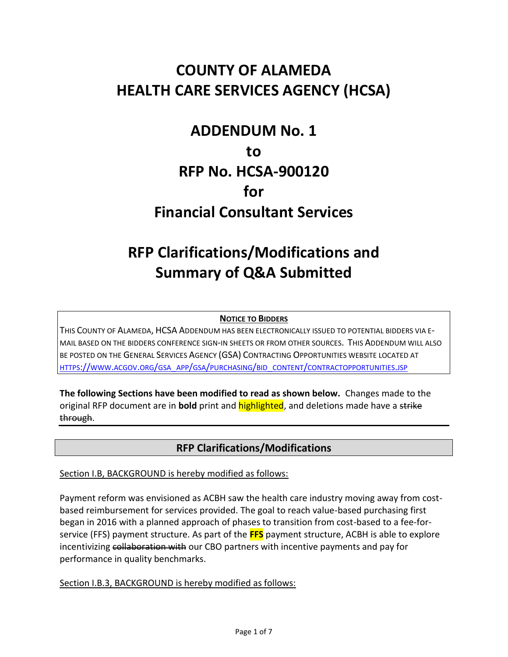## **COUNTY OF ALAMEDA HEALTH CARE SERVICES AGENCY (HCSA)**

# **ADDENDUM No. 1 to RFP No. HCSA-900120 for Financial Consultant Services**

# **RFP Clarifications/Modifications and Summary of Q&A Submitted**

#### **NOTICE TO BIDDERS**

THIS COUNTY OF ALAMEDA, HCSA ADDENDUM HAS BEEN ELECTRONICALLY ISSUED TO POTENTIAL BIDDERS VIA E-MAIL BASED ON THE BIDDERS CONFERENCE SIGN-IN SHEETS OR FROM OTHER SOURCES. THIS ADDENDUM WILL ALSO BE POSTED ON THE GENERAL SERVICES AGENCY (GSA) CONTRACTING OPPORTUNITIES WEBSITE LOCATED AT HTTPS://WWW.ACGOV.ORG/GSA\_APP/GSA/PURCHASING/BID\_CONTENT/[CONTRACTOPPORTUNITIES](https://www.acgov.org/gsa_app/gsa/purchasing/bid_content/contractopportunities.jsp).JSP

**The following Sections have been modified to read as shown below.** Changes made to the original RFP document are in **bold** print and highlighted, and deletions made have a strike through.

## **RFP Clarifications/Modifications**

Section I.B, BACKGROUND is hereby modified as follows:

Payment reform was envisioned as ACBH saw the health care industry moving away from costbased reimbursement for services provided. The goal to reach value-based purchasing first began in 2016 with a planned approach of phases to transition from cost-based to a fee-forservice (FFS) payment structure. As part of the **FFS** payment structure, ACBH is able to explore incentivizing collaboration with our CBO partners with incentive payments and pay for performance in quality benchmarks.

Section I.B.3, BACKGROUND is hereby modified as follows: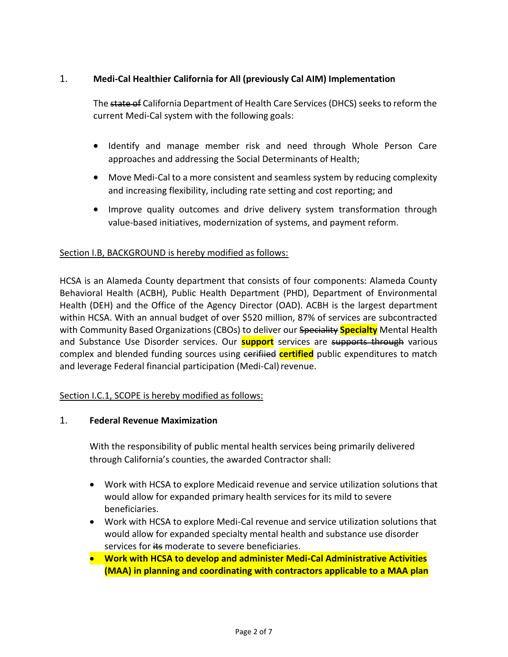### 1. **Medi-Cal Healthier California for All (previously Cal AIM) Implementation**

The state of California Department of Health Care Services (DHCS) seeks to reform the current Medi-Cal system with the following goals:

- Identify and manage member risk and need through Whole Person Care approaches and addressing the Social Determinants of Health;
- Move Medi-Cal to a more consistent and seamless system by reducing complexity and increasing flexibility, including rate setting and cost reporting; and
- Improve quality outcomes and drive delivery system transformation through value-based initiatives, modernization of systems, and payment reform.

#### Section I.B, BACKGROUND is hereby modified as follows:

HCSA is an Alameda County department that consists of four components: Alameda County Behavioral Health (ACBH), Public Health Department (PHD), Department of Environmental Health (DEH) and the Office of the Agency Director (OAD). ACBH is the largest department within HCSA. With an annual budget of over \$520 million, 87% of services are subcontracted with Community Based Organizations (CBOs) to deliver our Speciality **Specialty** Mental Health and Substance Use Disorder services. Our **support** services are supports through various complex and blended funding sources using contribution certified public expenditures to match and leverage Federal financial participation (Medi-Cal) revenue.

#### Section I.C.1, SCOPE is hereby modified as follows:

#### 1. **Federal Revenue Maximization**

With the responsibility of public mental health services being primarily delivered through California's counties, the awarded Contractor shall:

- Work with HCSA to explore Medicaid revenue and service utilization solutions that would allow for expanded primary health services for its mild to severe beneficiaries.
- Work with HCSA to explore Medi-Cal revenue and service utilization solutions that would allow for expanded specialty mental health and substance use disorder services for its moderate to severe beneficiaries.
- **Work with HCSA to develop and administer Medi-Cal Administrative Activities (MAA) in planning and coordinating with contractors applicable to a MAA plan**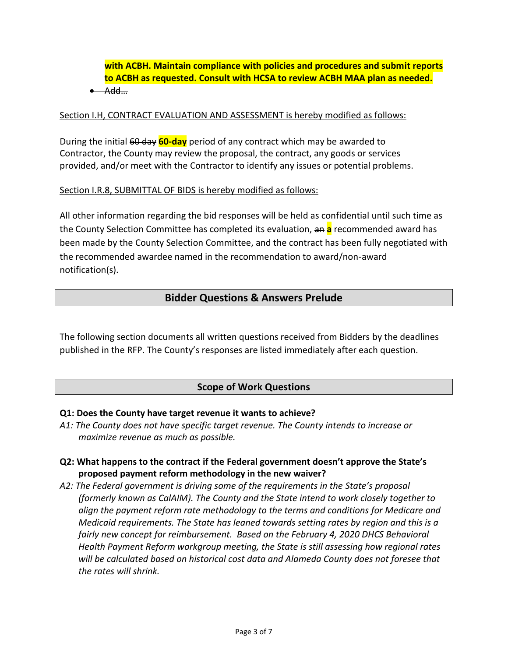**with ACBH. Maintain compliance with policies and procedures and submit reports to ACBH as requested. Consult with HCSA to review ACBH MAA plan as needed.**   $\bullet$  Add...

#### Section I.H, CONTRACT EVALUATION AND ASSESSMENT is hereby modified as follows:

During the initial 60 day **60-day** period of any contract which may be awarded to Contractor, the County may review the proposal, the contract, any goods or services provided, and/or meet with the Contractor to identify any issues or potential problems.

#### Section I.R.8, SUBMITTAL OF BIDS is hereby modified as follows:

All other information regarding the bid responses will be held as confidential until such time as the County Selection Committee has completed its evaluation, an **a** recommended award has been made by the County Selection Committee, and the contract has been fully negotiated with the recommended awardee named in the recommendation to award/non-award notification(s).

### **Bidder Questions & Answers Prelude**

The following section documents all written questions received from Bidders by the deadlines published in the RFP. The County's responses are listed immediately after each question.

### **Scope of Work Questions**

#### **Q1: Does the County have target revenue it wants to achieve?**

*A1: The County does not have specific target revenue. The County intends to increase or maximize revenue as much as possible.*

#### **Q2: What happens to the contract if the Federal government doesn't approve the State's proposed payment reform methodology in the new waiver?**

*A2: The Federal government is driving some of the requirements in the State's proposal (formerly known as CalAIM). The County and the State intend to work closely together to align the payment reform rate methodology to the terms and conditions for Medicare and Medicaid requirements. The State has leaned towards setting rates by region and this is a fairly new concept for reimbursement. Based on the February 4, 2020 DHCS Behavioral Health Payment Reform workgroup meeting, the State is still assessing how regional rates will be calculated based on historical cost data and Alameda County does not foresee that the rates will shrink.*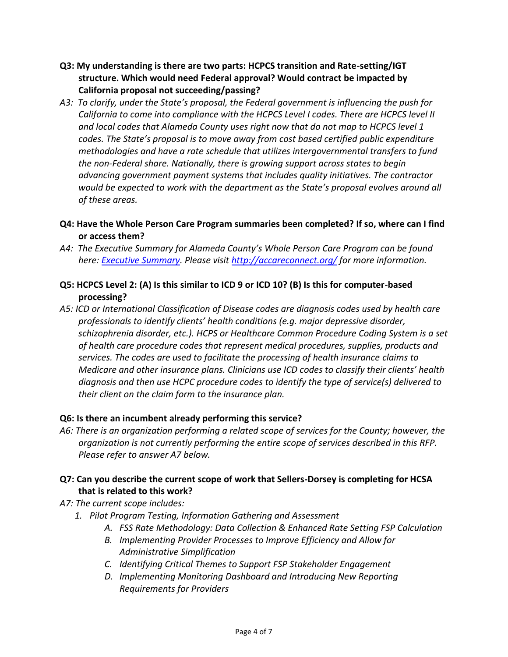- **Q3: My understanding is there are two parts: HCPCS transition and Rate-setting/IGT structure. Which would need Federal approval? Would contract be impacted by California proposal not succeeding/passing?**
- *A3: To clarify, under the State's proposal, the Federal government is influencing the push for California to come into compliance with the HCPCS Level I codes. There are HCPCS level II and local codes that Alameda County uses right now that do not map to HCPCS level 1 codes. The State's proposal is to move away from cost based certified public expenditure methodologies and have a rate schedule that utilizes intergovernmental transfers to fund the non-Federal share. Nationally, there is growing support across states to begin advancing government payment systems that includes quality initiatives. The contractor would be expected to work with the department as the State's proposal evolves around all of these areas.*
- **Q4: Have the Whole Person Care Program summaries been completed? If so, where can I find or access them?**
- A4: The Executive Summary for Alameda County's Whole Person Care Program can be found *here: [Executive Summary.](http://accareconnect.org/wp-content/uploads/2019/08/AC-Care-Connect-Exec-Summary-Dissemination-Brief-Case-Conference-9.5.19.pdf) Please visit<http://accareconnect.org/> for more information.*
- **Q5: HCPCS Level 2: (A) Is this similar to ICD 9 or ICD 10? (B) Is this for computer-based processing?**
- *A5: ICD or International Classification of Disease codes are diagnosis codes used by health care professionals to identify clients' health conditions (e.g. major depressive disorder, schizophrenia disorder, etc.). HCPS or Healthcare Common Procedure Coding System is a set of health care procedure codes that represent medical procedures, supplies, products and services. The codes are used to facilitate the processing of health insurance claims to Medicare and other insurance plans. Clinicians use ICD codes to classify their clients' health diagnosis and then use HCPC procedure codes to identify the type of service(s) delivered to their client on the claim form to the insurance plan.*

#### **Q6: Is there an incumbent already performing this service?**

- *A6: There is an organization performing a related scope of services for the County; however, the organization is not currently performing the entire scope of services described in this RFP. Please refer to answer A7 below.*
- **Q7: Can you describe the current scope of work that Sellers-Dorsey is completing for HCSA that is related to this work?**
- *A7: The current scope includes:*
	- *1. Pilot Program Testing, Information Gathering and Assessment*
		- *A. FSS Rate Methodology: Data Collection & Enhanced Rate Setting FSP Calculation*
		- *B. Implementing Provider Processes to Improve Efficiency and Allow for Administrative Simplification*
		- *C. Identifying Critical Themes to Support FSP Stakeholder Engagement*
		- *D. Implementing Monitoring Dashboard and Introducing New Reporting Requirements for Providers*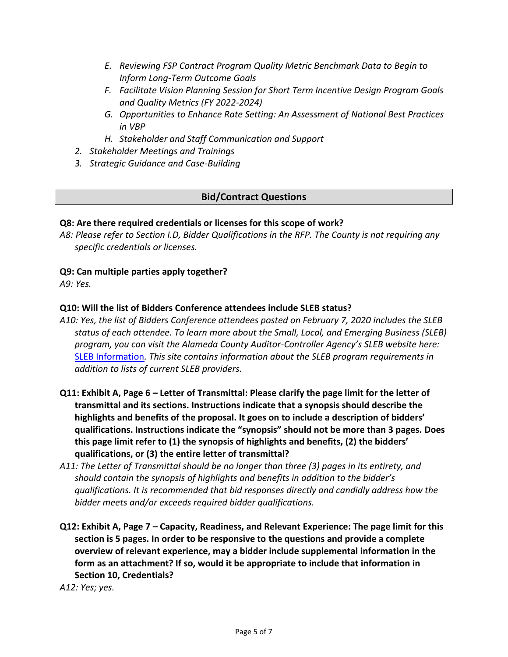- *E. Reviewing FSP Contract Program Quality Metric Benchmark Data to Begin to Inform Long-Term Outcome Goals*
- *F. Facilitate Vision Planning Session for Short Term Incentive Design Program Goals and Quality Metrics (FY 2022-2024)*
- *G. Opportunities to Enhance Rate Setting: An Assessment of National Best Practices in VBP*
- *H. Stakeholder and Staff Communication and Support*
- *2. Stakeholder Meetings and Trainings*
- *3. Strategic Guidance and Case-Building*

## **Bid/Contract Questions**

### **Q8: Are there required credentials or licenses for this scope of work?**

*A8: Please refer to Section I.D, Bidder Qualifications in the RFP. The County is not requiring any specific credentials or licenses.*

## **Q9: Can multiple parties apply together?**

*A9: Yes.*

## **Q10: Will the list of Bidders Conference attendees include SLEB status?**

- *A10: Yes, the list of Bidders Conference attendees posted on February 7, 2020 includes the SLEB status of each attendee. To learn more about the Small, Local, and Emerging Business (SLEB) program, you can visit the Alameda County Auditor-Controller Agency's SLEB website here:*  [SLEB Information](https://www.acgov.org/auditor/sleb/index.htm)*. This site contains information about the SLEB program requirements in addition to lists of current SLEB providers.*
- **Q11: Exhibit A, Page 6 – Letter of Transmittal: Please clarify the page limit for the letter of transmittal and its sections. Instructions indicate that a synopsis should describe the highlights and benefits of the proposal. It goes on to include a description of bidders' qualifications. Instructions indicate the "synopsis" should not be more than 3 pages. Does this page limit refer to (1) the synopsis of highlights and benefits, (2) the bidders' qualifications, or (3) the entire letter of transmittal?**
- *A11: The Letter of Transmittal should be no longer than three (3) pages in its entirety, and should contain the synopsis of highlights and benefits in addition to the bidder's qualifications. It is recommended that bid responses directly and candidly address how the bidder meets and/or exceeds required bidder qualifications.*
- **Q12: Exhibit A, Page 7 – Capacity, Readiness, and Relevant Experience: The page limit for this section is 5 pages. In order to be responsive to the questions and provide a complete overview of relevant experience, may a bidder include supplemental information in the form as an attachment? If so, would it be appropriate to include that information in Section 10, Credentials?**

*A12: Yes; yes.*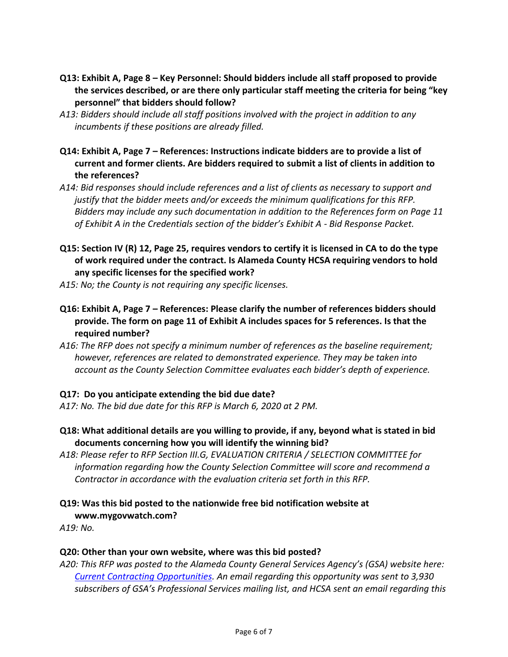- **Q13: Exhibit A, Page 8 – Key Personnel: Should bidders include all staff proposed to provide the services described, or are there only particular staff meeting the criteria for being "key personnel" that bidders should follow?**
- *A13: Bidders should include all staff positions involved with the project in addition to any incumbents if these positions are already filled.*
- **Q14: Exhibit A, Page 7 – References: Instructions indicate bidders are to provide a list of current and former clients. Are bidders required to submit a list of clients in addition to the references?**
- *A14: Bid responses should include references and a list of clients as necessary to support and justify that the bidder meets and/or exceeds the minimum qualifications for this RFP. Bidders may include any such documentation in addition to the References form on Page 11 of Exhibit A in the Credentials section of the bidder's Exhibit A - Bid Response Packet.*
- **Q15: Section IV (R) 12, Page 25, requires vendors to certify it is licensed in CA to do the type of work required under the contract. Is Alameda County HCSA requiring vendors to hold any specific licenses for the specified work?**

*A15: No; the County is not requiring any specific licenses.*

- **Q16: Exhibit A, Page 7 – References: Please clarify the number of references bidders should provide. The form on page 11 of Exhibit A includes spaces for 5 references. Is that the required number?**
- *A16: The RFP does not specify a minimum number of references as the baseline requirement; however, references are related to demonstrated experience. They may be taken into account as the County Selection Committee evaluates each bidder's depth of experience.*

### **Q17: Do you anticipate extending the bid due date?**

*A17: No. The bid due date for this RFP is March 6, 2020 at 2 PM.* 

- **Q18: What additional details are you willing to provide, if any, beyond what is stated in bid documents concerning how you will identify the winning bid?**
- *A18: Please refer to RFP Section III.G, EVALUATION CRITERIA / SELECTION COMMITTEE for information regarding how the County Selection Committee will score and recommend a Contractor in accordance with the evaluation criteria set forth in this RFP.*
- **Q19: Was this bid posted to the nationwide free bid notification website at www.mygovwatch.com?**

*A19: No.*

### **Q20: Other than your own website, where was this bid posted?**

*A20: This RFP was posted to the Alameda County General Services Agency's (GSA) website here: [Current Contracting Opportunities.](https://acgov.org/gsa_app/gsa/purchasing/bid_content/contractopportunities.jsp) An email regarding this opportunity was sent to 3,930 subscribers of GSA's Professional Services mailing list, and HCSA sent an email regarding this*